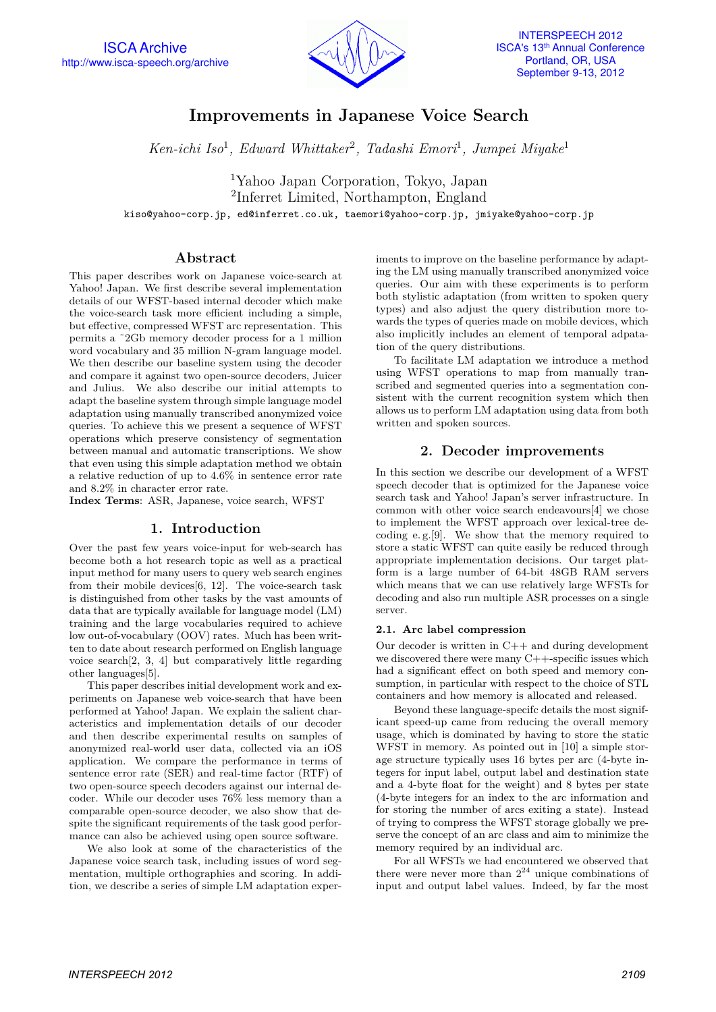

# **Improvements in Japanese Voice Search**

*Ken-ichi Iso*<sup>1</sup> *, Edward Whittaker*<sup>2</sup> *, Tadashi Emori*<sup>1</sup> *, Jumpei Miyake*<sup>1</sup>

<sup>1</sup>Yahoo Japan Corporation, Tokyo, Japan 2 Inferret Limited, Northampton, England

kiso@yahoo-corp.jp, ed@inferret.co.uk, taemori@yahoo-corp.jp, jmiyake@yahoo-corp.jp

# **Abstract**

This paper describes work on Japanese voice-search at Yahoo! Japan. We first describe several implementation details of our WFST-based internal decoder which make the voice-search task more efficient including a simple, but effective, compressed WFST arc representation. This permits a ˜2Gb memory decoder process for a 1 million word vocabulary and 35 million N-gram language model. We then describe our baseline system using the decoder and compare it against two open-source decoders, Juicer and Julius. We also describe our initial attempts to adapt the baseline system through simple language model adaptation using manually transcribed anonymized voice queries. To achieve this we present a sequence of WFST operations which preserve consistency of segmentation between manual and automatic transcriptions. We show that even using this simple adaptation method we obtain a relative reduction of up to 4.6% in sentence error rate and 8.2% in character error rate.

**Index Terms**: ASR, Japanese, voice search, WFST

# **1. Introduction**

Over the past few years voice-input for web-search has become both a hot research topic as well as a practical input method for many users to query web search engines from their mobile devices[6, 12]. The voice-search task is distinguished from other tasks by the vast amounts of data that are typically available for language model (LM) training and the large vocabularies required to achieve low out-of-vocabulary (OOV) rates. Much has been written to date about research performed on English language voice search[2, 3, 4] but comparatively little regarding other languages[5].

This paper describes initial development work and experiments on Japanese web voice-search that have been performed at Yahoo! Japan. We explain the salient characteristics and implementation details of our decoder and then describe experimental results on samples of anonymized real-world user data, collected via an iOS application. We compare the performance in terms of sentence error rate (SER) and real-time factor (RTF) of two open-source speech decoders against our internal decoder. While our decoder uses 76% less memory than a comparable open-source decoder, we also show that despite the significant requirements of the task good performance can also be achieved using open source software.

We also look at some of the characteristics of the Japanese voice search task, including issues of word segmentation, multiple orthographies and scoring. In addition, we describe a series of simple LM adaptation exper-

iments to improve on the baseline performance by adapting the LM using manually transcribed anonymized voice queries. Our aim with these experiments is to perform both stylistic adaptation (from written to spoken query types) and also adjust the query distribution more towards the types of queries made on mobile devices, which also implicitly includes an element of temporal adpatation of the query distributions.

To facilitate LM adaptation we introduce a method using WFST operations to map from manually transcribed and segmented queries into a segmentation consistent with the current recognition system which then allows us to perform LM adaptation using data from both written and spoken sources.

# **2. Decoder improvements**

In this section we describe our development of a WFST speech decoder that is optimized for the Japanese voice search task and Yahoo! Japan's server infrastructure. In common with other voice search endeavours[4] we chose to implement the WFST approach over lexical-tree decoding e. g.[9]. We show that the memory required to store a static WFST can quite easily be reduced through appropriate implementation decisions. Our target platform is a large number of 64-bit 48GB RAM servers which means that we can use relatively large WFSTs for decoding and also run multiple ASR processes on a single server.

## **2.1. Arc label compression**

Our decoder is written in C++ and during development we discovered there were many C++-specific issues which had a significant effect on both speed and memory consumption, in particular with respect to the choice of STL containers and how memory is allocated and released.

Beyond these language-specifc details the most significant speed-up came from reducing the overall memory usage, which is dominated by having to store the static WFST in memory. As pointed out in [10] a simple storage structure typically uses 16 bytes per arc (4-byte integers for input label, output label and destination state and a 4-byte float for the weight) and 8 bytes per state (4-byte integers for an index to the arc information and for storing the number of arcs exiting a state). Instead of trying to compress the WFST storage globally we preserve the concept of an arc class and aim to minimize the memory required by an individual arc.

For all WFSTs we had encountered we observed that there were never more than  $2^{24}$  unique combinations of input and output label values. Indeed, by far the most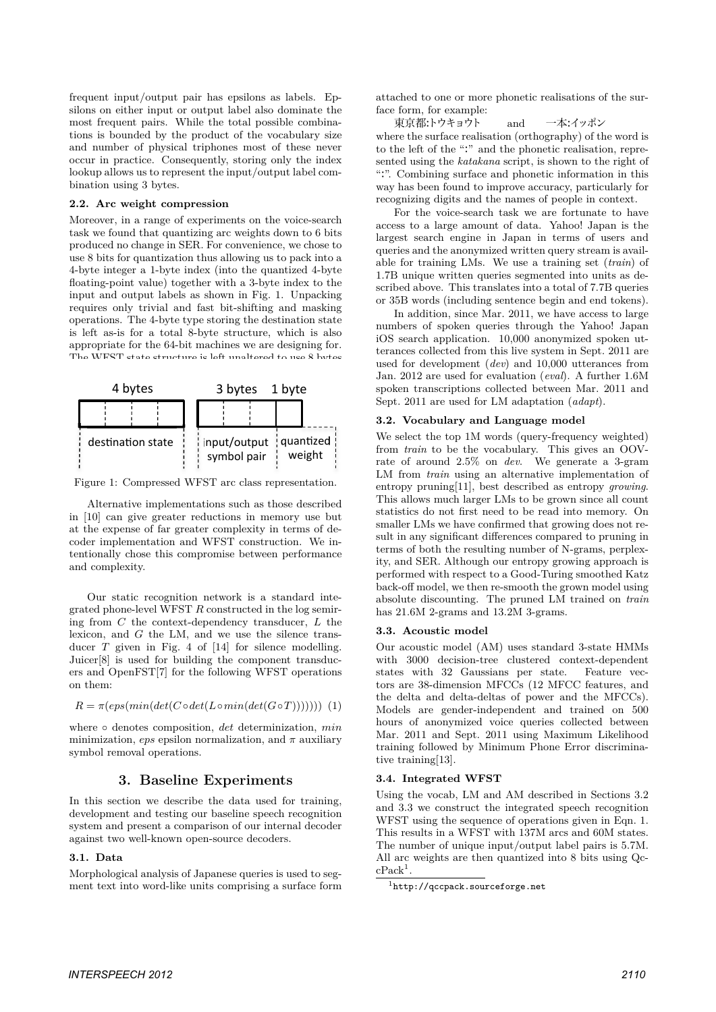frequent input/output pair has epsilons as labels. Epsilons on either input or output label also dominate the most frequent pairs. While the total possible combinations is bounded by the product of the vocabulary size and number of physical triphones most of these never occur in practice. Consequently, storing only the index lookup allows us to represent the input/output label combination using 3 bytes.

#### **2.2. Arc weight compression**

Moreover, in a range of experiments on the voice-search task we found that quantizing arc weights down to 6 bits produced no change in SER. For convenience, we chose to use 8 bits for quantization thus allowing us to pack into a 4-byte integer a 1-byte index (into the quantized 4-byte floating-point value) together with a 3-byte index to the input and output labels as shown in Fig. 1. Unpacking requires only trivial and fast bit-shifting and masking operations. The 4-byte type storing the destination state is left as-is for a total 8-byte structure, which is also appropriate for the 64-bit machines we are designing for. The WFST state structure is left unaltered to use 8 bytes



Figure 1: Compressed WFST arc class representation.

Alternative implementations such as those described in [10] can give greater reductions in memory use but at the expense of far greater complexity in terms of decoder implementation and WFST construction. We intentionally chose this compromise between performance and complexity.

Our static recognition network is a standard integrated phone-level WFST *R* constructed in the log semiring from *C* the context-dependency transducer, *L* the lexicon, and *G* the LM, and we use the silence transducer *T* given in Fig. 4 of [14] for silence modelling. Juicer[8] is used for building the component transducers and OpenFST[7] for the following WFST operations on them:

$$
R = \pi(eps(min(det(C \circ det(L \circ min(det(G \circ T)))))) (1)
$$

where *◦* denotes composition, *det* determinization, *min* minimization,  $eps$  epsilon normalization, and  $\pi$  auxiliary symbol removal operations.

# **3. Baseline Experiments**

In this section we describe the data used for training, development and testing our baseline speech recognition system and present a comparison of our internal decoder against two well-known open-source decoders.

## **3.1. Data**

Morphological analysis of Japanese queries is used to segment text into word-like units comprising a surface form attached to one or more phonetic realisations of the surface form, for example:

東京都:トウキョウト and 一本:イッポン where the surface realisation (orthography) of the word is to the left of the ":" and the phonetic realisation, represented using the *katakana* script, is shown to the right of ":". Combining surface and phonetic information in this way has been found to improve accuracy, particularly for recognizing digits and the names of people in context.

For the voice-search task we are fortunate to have access to a large amount of data. Yahoo! Japan is the largest search engine in Japan in terms of users and queries and the anonymized written query stream is available for training LMs. We use a training set (*train*) of 1.7B unique written queries segmented into units as described above. This translates into a total of 7.7B queries or 35B words (including sentence begin and end tokens).

In addition, since Mar. 2011, we have access to large numbers of spoken queries through the Yahoo! Japan iOS search application. 10,000 anonymized spoken utterances collected from this live system in Sept. 2011 are used for development (*dev*) and 10,000 utterances from Jan. 2012 are used for evaluation (*eval*). A further 1.6M spoken transcriptions collected between Mar. 2011 and Sept. 2011 are used for LM adaptation (*adapt*).

## **3.2. Vocabulary and Language model**

We select the top 1M words (query-frequency weighted) from *train* to be the vocabulary. This gives an OOVrate of around 2.5% on *dev*. We generate a 3-gram LM from *train* using an alternative implementation of entropy pruning[11], best described as entropy *growing*. This allows much larger LMs to be grown since all count statistics do not first need to be read into memory. On smaller LMs we have confirmed that growing does not result in any significant differences compared to pruning in terms of both the resulting number of N-grams, perplexity, and SER. Although our entropy growing approach is performed with respect to a Good-Turing smoothed Katz back-off model, we then re-smooth the grown model using absolute discounting. The pruned LM trained on *train* has 21.6M 2-grams and 13.2M 3-grams.

## **3.3. Acoustic model**

Our acoustic model (AM) uses standard 3-state HMMs with 3000 decision-tree clustered context-dependent states with 32 Gaussians per state. Feature vectors are 38-dimension MFCCs (12 MFCC features, and the delta and delta-deltas of power and the MFCCs). Models are gender-independent and trained on 500 hours of anonymized voice queries collected between Mar. 2011 and Sept. 2011 using Maximum Likelihood training followed by Minimum Phone Error discriminative training[13].

## **3.4. Integrated WFST**

Using the vocab, LM and AM described in Sections 3.2 and 3.3 we construct the integrated speech recognition WFST using the sequence of operations given in Eqn. 1. This results in a WFST with 137M arcs and 60M states. The number of unique input/output label pairs is 5.7M. All arc weights are then quantized into 8 bits using Qc $c$ Pack<sup>1</sup>.

 $1$ http://qccpack.sourceforge.net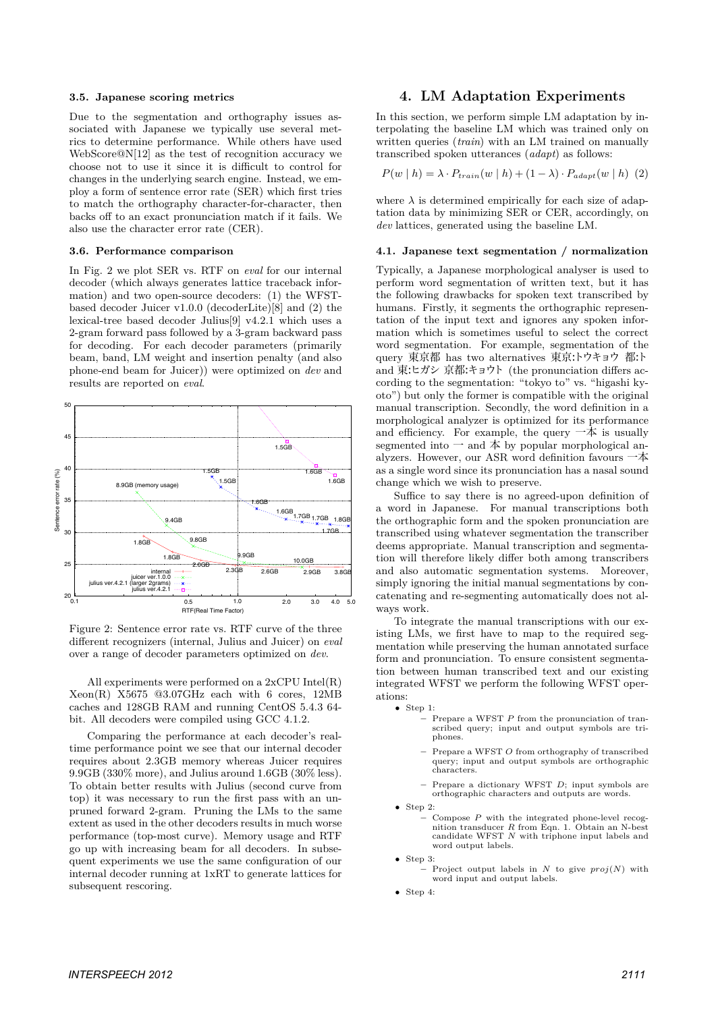### **3.5. Japanese scoring metrics**

Due to the segmentation and orthography issues associated with Japanese we typically use several metrics to determine performance. While others have used WebScore@N[12] as the test of recognition accuracy we choose not to use it since it is difficult to control for changes in the underlying search engine. Instead, we employ a form of sentence error rate (SER) which first tries to match the orthography character-for-character, then backs off to an exact pronunciation match if it fails. We also use the character error rate (CER).

#### **3.6. Performance comparison**

In Fig. 2 we plot SER vs. RTF on *eval* for our internal decoder (which always generates lattice traceback information) and two open-source decoders: (1) the WFSTbased decoder Juicer v1.0.0 (decoderLite)[8] and (2) the lexical-tree based decoder Julius[9] v4.2.1 which uses a 2-gram forward pass followed by a 3-gram backward pass for decoding. For each decoder parameters (primarily beam, band, LM weight and insertion penalty (and also phone-end beam for Juicer)) were optimized on *dev* and results are reported on *eval*.



Figure 2: Sentence error rate vs. RTF curve of the three different recognizers (internal, Julius and Juicer) on *eval* over a range of decoder parameters optimized on *dev*.

All experiments were performed on a 2xCPU Intel(R) Xeon(R) X5675 @3.07GHz each with 6 cores, 12MB caches and 128GB RAM and running CentOS 5.4.3 64 bit. All decoders were compiled using GCC 4.1.2.

Comparing the performance at each decoder's realtime performance point we see that our internal decoder requires about 2.3GB memory whereas Juicer requires 9.9GB (330% more), and Julius around 1.6GB (30% less). To obtain better results with Julius (second curve from top) it was necessary to run the first pass with an unpruned forward 2-gram. Pruning the LMs to the same extent as used in the other decoders results in much worse performance (top-most curve). Memory usage and RTF go up with increasing beam for all decoders. In subsequent experiments we use the same configuration of our internal decoder running at 1xRT to generate lattices for subsequent rescoring.

## **4. LM Adaptation Experiments**

In this section, we perform simple LM adaptation by interpolating the baseline LM which was trained only on written queries (*train*) with an LM trained on manually transcribed spoken utterances (*adapt*) as follows:

$$
P(w | h) = \lambda \cdot P_{train}(w | h) + (1 - \lambda) \cdot P_{adapt}(w | h) \tag{2}
$$

where  $\lambda$  is determined empirically for each size of adaptation data by minimizing SER or CER, accordingly, on *dev* lattices, generated using the baseline LM.

### **4.1. Japanese text segmentation / normalization**

Typically, a Japanese morphological analyser is used to perform word segmentation of written text, but it has the following drawbacks for spoken text transcribed by humans. Firstly, it segments the orthographic representation of the input text and ignores any spoken information which is sometimes useful to select the correct word segmentation. For example, segmentation of the query 東京都 has two alternatives 東京:トウキョウ 都:ト and 東:ヒガシ 京都:キョウト (the pronunciation differs according to the segmentation: "tokyo to" vs. "higashi kyoto") but only the former is compatible with the original manual transcription. Secondly, the word definition in a morphological analyzer is optimized for its performance and efficiency. For example, the query  $-\bar{\mathbb{A}}$  is usually segmented into  $-$  and  $\bar{A}$  by popular morphological analyzers. However, our ASR word definition favours 一本 as a single word since its pronunciation has a nasal sound change which we wish to preserve.

Suffice to say there is no agreed-upon definition of a word in Japanese. For manual transcriptions both the orthographic form and the spoken pronunciation are transcribed using whatever segmentation the transcriber deems appropriate. Manual transcription and segmentation will therefore likely differ both among transcribers and also automatic segmentation systems. Moreover, simply ignoring the initial manual segmentations by concatenating and re-segmenting automatically does not always work.

To integrate the manual transcriptions with our existing LMs, we first have to map to the required segmentation while preserving the human annotated surface form and pronunciation. To ensure consistent segmentation between human transcribed text and our existing integrated WFST we perform the following WFST operations:

- *•* Step 1:
	- **–** Prepare a WFST *P* from the pronunciation of transcribed query; input and output symbols are triphones.
	- **–** Prepare a WFST *O* from orthography of transcribed query; input and output symbols are orthographic characters.
	- **–** Prepare a dictionary WFST *D*; input symbols are orthographic characters and outputs are words.
- *•* Step 2:
	- **–** Compose *P* with the integrated phone-level recog-nition transducer *R* from Eqn. 1. Obtain an N-best candidate WFST *N* with triphone input labels and word output labels.

*•* Step 3:

- Project output labels in *N* to give  $proj(N)$  with word input and output labels.
- *•* Step 4: